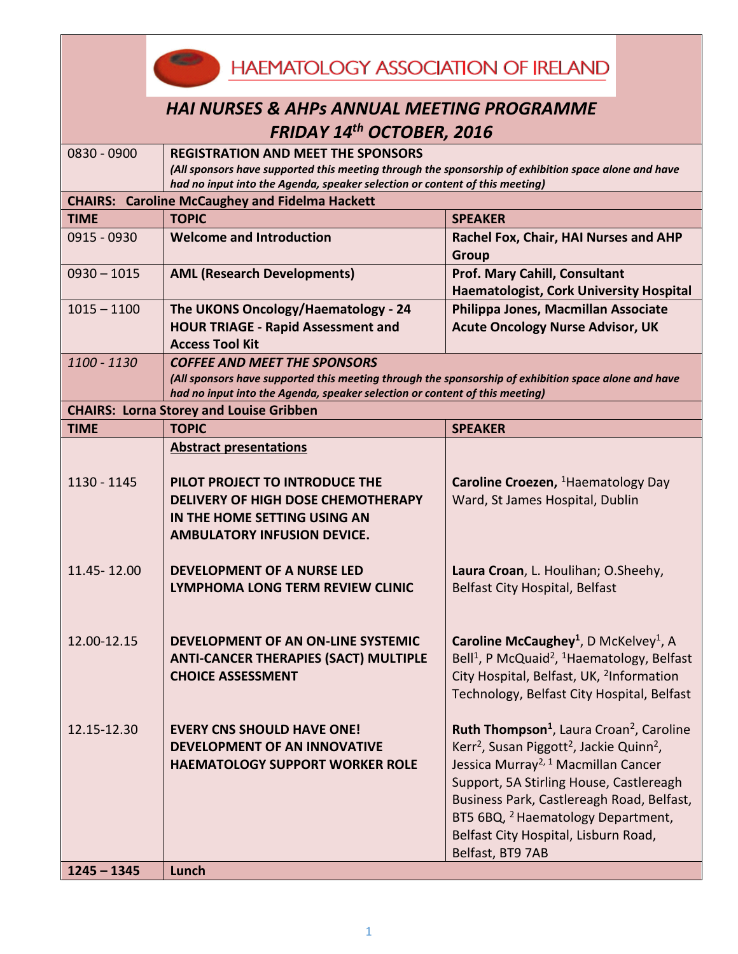<u>e est</u> **HAEMATOLOGY ASSOCIATION OF IRELAND** 

| <b>HAI NURSES &amp; AHPs ANNUAL MEETING PROGRAMME</b> |
|-------------------------------------------------------|
| <b>FRIDAY 14th OCTOBER, 2016</b>                      |

| 0830 - 0900                                                                 | <b>REGISTRATION AND MEET THE SPONSORS</b>                                                                                                                                           |                                                                                |  |  |
|-----------------------------------------------------------------------------|-------------------------------------------------------------------------------------------------------------------------------------------------------------------------------------|--------------------------------------------------------------------------------|--|--|
|                                                                             | (All sponsors have supported this meeting through the sponsorship of exhibition space alone and have                                                                                |                                                                                |  |  |
| had no input into the Agenda, speaker selection or content of this meeting) |                                                                                                                                                                                     |                                                                                |  |  |
|                                                                             | <b>CHAIRS: Caroline McCaughey and Fidelma Hackett</b>                                                                                                                               |                                                                                |  |  |
| <b>TIME</b>                                                                 | <b>TOPIC</b>                                                                                                                                                                        | <b>SPEAKER</b>                                                                 |  |  |
| 0915 - 0930                                                                 | <b>Welcome and Introduction</b>                                                                                                                                                     | Rachel Fox, Chair, HAI Nurses and AHP                                          |  |  |
|                                                                             |                                                                                                                                                                                     | <b>Group</b>                                                                   |  |  |
| $0930 - 1015$                                                               | <b>AML (Research Developments)</b>                                                                                                                                                  | <b>Prof. Mary Cahill, Consultant</b>                                           |  |  |
|                                                                             |                                                                                                                                                                                     | <b>Haematologist, Cork University Hospital</b>                                 |  |  |
| $1015 - 1100$                                                               | The UKONS Oncology/Haematology - 24                                                                                                                                                 | Philippa Jones, Macmillan Associate                                            |  |  |
|                                                                             | <b>HOUR TRIAGE - Rapid Assessment and</b>                                                                                                                                           | <b>Acute Oncology Nurse Advisor, UK</b>                                        |  |  |
|                                                                             | <b>Access Tool Kit</b>                                                                                                                                                              |                                                                                |  |  |
| 1100 - 1130                                                                 | <b>COFFEE AND MEET THE SPONSORS</b>                                                                                                                                                 |                                                                                |  |  |
|                                                                             | (All sponsors have supported this meeting through the sponsorship of exhibition space alone and have<br>had no input into the Agenda, speaker selection or content of this meeting) |                                                                                |  |  |
|                                                                             | <b>CHAIRS: Lorna Storey and Louise Gribben</b>                                                                                                                                      |                                                                                |  |  |
| <b>TIME</b>                                                                 | <b>TOPIC</b>                                                                                                                                                                        | <b>SPEAKER</b>                                                                 |  |  |
|                                                                             | <b>Abstract presentations</b>                                                                                                                                                       |                                                                                |  |  |
|                                                                             |                                                                                                                                                                                     |                                                                                |  |  |
| 1130 - 1145                                                                 | PILOT PROJECT TO INTRODUCE THE                                                                                                                                                      | Caroline Croezen, <sup>1</sup> Haematology Day                                 |  |  |
|                                                                             | DELIVERY OF HIGH DOSE CHEMOTHERAPY                                                                                                                                                  | Ward, St James Hospital, Dublin                                                |  |  |
|                                                                             | IN THE HOME SETTING USING AN                                                                                                                                                        |                                                                                |  |  |
|                                                                             | <b>AMBULATORY INFUSION DEVICE.</b>                                                                                                                                                  |                                                                                |  |  |
|                                                                             |                                                                                                                                                                                     |                                                                                |  |  |
| 11.45-12.00                                                                 | <b>DEVELOPMENT OF A NURSE LED</b>                                                                                                                                                   | Laura Croan, L. Houlihan; O.Sheehy,                                            |  |  |
|                                                                             | LYMPHOMA LONG TERM REVIEW CLINIC                                                                                                                                                    | <b>Belfast City Hospital, Belfast</b>                                          |  |  |
|                                                                             |                                                                                                                                                                                     |                                                                                |  |  |
|                                                                             |                                                                                                                                                                                     |                                                                                |  |  |
| 12.00-12.15                                                                 | DEVELOPMENT OF AN ON-LINE SYSTEMIC                                                                                                                                                  | Caroline McCaughey <sup>1</sup> , D McKelvey <sup>1</sup> , A                  |  |  |
|                                                                             | <b>ANTI-CANCER THERAPIES (SACT) MULTIPLE</b>                                                                                                                                        | Bell <sup>1</sup> , P McQuaid <sup>2</sup> , <sup>1</sup> Haematology, Belfast |  |  |
|                                                                             | <b>CHOICE ASSESSMENT</b>                                                                                                                                                            | City Hospital, Belfast, UK, <sup>2</sup> Information                           |  |  |
|                                                                             |                                                                                                                                                                                     | Technology, Belfast City Hospital, Belfast                                     |  |  |
|                                                                             |                                                                                                                                                                                     |                                                                                |  |  |
| 12.15-12.30                                                                 | <b>EVERY CNS SHOULD HAVE ONE!</b>                                                                                                                                                   | Ruth Thompson <sup>1</sup> , Laura Croan <sup>2</sup> , Caroline               |  |  |
|                                                                             | <b>DEVELOPMENT OF AN INNOVATIVE</b>                                                                                                                                                 | Kerr <sup>2</sup> , Susan Piggott <sup>2</sup> , Jackie Quinn <sup>2</sup> ,   |  |  |
|                                                                             | <b>HAEMATOLOGY SUPPORT WORKER ROLE</b>                                                                                                                                              | Jessica Murray <sup>2, 1</sup> Macmillan Cancer                                |  |  |
|                                                                             |                                                                                                                                                                                     | Support, 5A Stirling House, Castlereagh                                        |  |  |
|                                                                             |                                                                                                                                                                                     | Business Park, Castlereagh Road, Belfast,                                      |  |  |
|                                                                             |                                                                                                                                                                                     | BT5 6BQ, <sup>2</sup> Haematology Department,                                  |  |  |
|                                                                             |                                                                                                                                                                                     | Belfast City Hospital, Lisburn Road,                                           |  |  |
|                                                                             |                                                                                                                                                                                     | Belfast, BT9 7AB                                                               |  |  |
| $1245 - 1345$                                                               | Lunch                                                                                                                                                                               |                                                                                |  |  |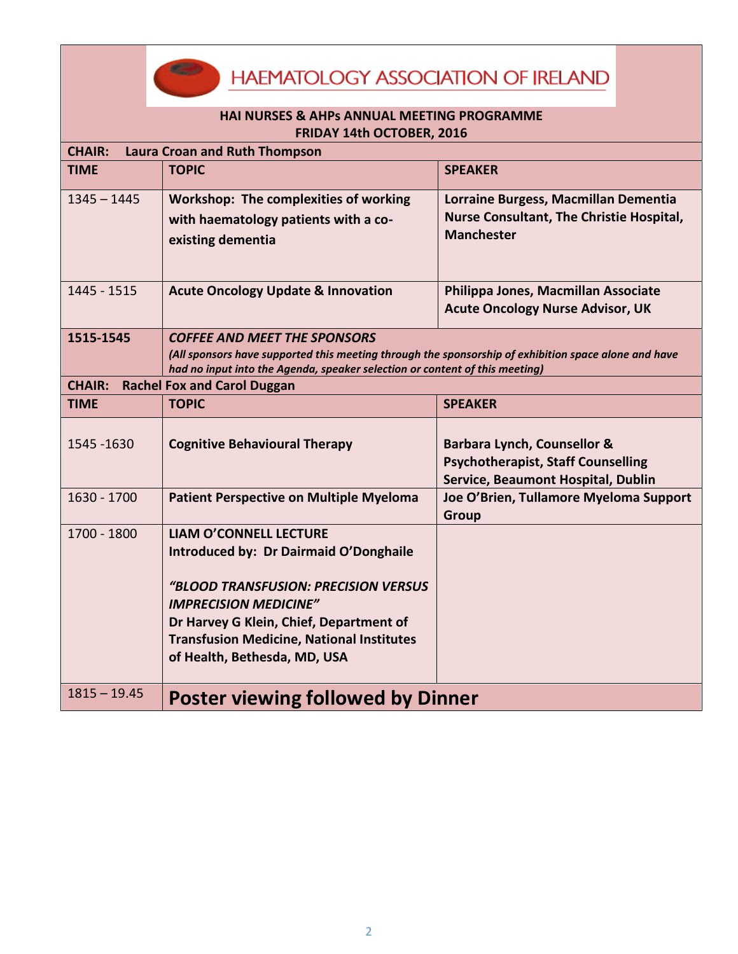**HAEMATOLOGY ASSOCIATION OF IRELAND** 

## **HAI NURSES & AHPs ANNUAL MEETING PROGRAMME FRIDAY 14th OCTOBER, 2016**

530

| <b>Laura Croan and Ruth Thompson</b><br><b>CHAIR:</b> |                                                                                                                                                                                                                                                                                |                                                                                                                           |  |  |
|-------------------------------------------------------|--------------------------------------------------------------------------------------------------------------------------------------------------------------------------------------------------------------------------------------------------------------------------------|---------------------------------------------------------------------------------------------------------------------------|--|--|
| <b>TIME</b>                                           | <b>TOPIC</b>                                                                                                                                                                                                                                                                   | <b>SPEAKER</b>                                                                                                            |  |  |
| $1345 - 1445$                                         | <b>Workshop: The complexities of working</b><br>with haematology patients with a co-<br>existing dementia                                                                                                                                                                      | Lorraine Burgess, Macmillan Dementia<br><b>Nurse Consultant, The Christie Hospital,</b><br><b>Manchester</b>              |  |  |
| 1445 - 1515                                           | <b>Acute Oncology Update &amp; Innovation</b>                                                                                                                                                                                                                                  | Philippa Jones, Macmillan Associate<br><b>Acute Oncology Nurse Advisor, UK</b>                                            |  |  |
| 1515-1545                                             | <b>COFFEE AND MEET THE SPONSORS</b><br>(All sponsors have supported this meeting through the sponsorship of exhibition space alone and have<br>had no input into the Agenda, speaker selection or content of this meeting)                                                     |                                                                                                                           |  |  |
| <b>Rachel Fox and Carol Duggan</b><br><b>CHAIR:</b>   |                                                                                                                                                                                                                                                                                |                                                                                                                           |  |  |
| <b>TIME</b>                                           | <b>TOPIC</b>                                                                                                                                                                                                                                                                   | <b>SPEAKER</b>                                                                                                            |  |  |
| 1545 - 1630                                           | <b>Cognitive Behavioural Therapy</b>                                                                                                                                                                                                                                           | <b>Barbara Lynch, Counsellor &amp;</b><br><b>Psychotherapist, Staff Counselling</b><br>Service, Beaumont Hospital, Dublin |  |  |
| 1630 - 1700                                           | <b>Patient Perspective on Multiple Myeloma</b>                                                                                                                                                                                                                                 | Joe O'Brien, Tullamore Myeloma Support<br>Group                                                                           |  |  |
| 1700 - 1800                                           | <b>LIAM O'CONNELL LECTURE</b><br>Introduced by: Dr Dairmaid O'Donghaile<br>"BLOOD TRANSFUSION: PRECISION VERSUS<br><b>IMPRECISION MEDICINE"</b><br>Dr Harvey G Klein, Chief, Department of<br><b>Transfusion Medicine, National Institutes</b><br>of Health, Bethesda, MD, USA |                                                                                                                           |  |  |
| $1815 - 19.45$                                        | <b>Poster viewing followed by Dinner</b>                                                                                                                                                                                                                                       |                                                                                                                           |  |  |